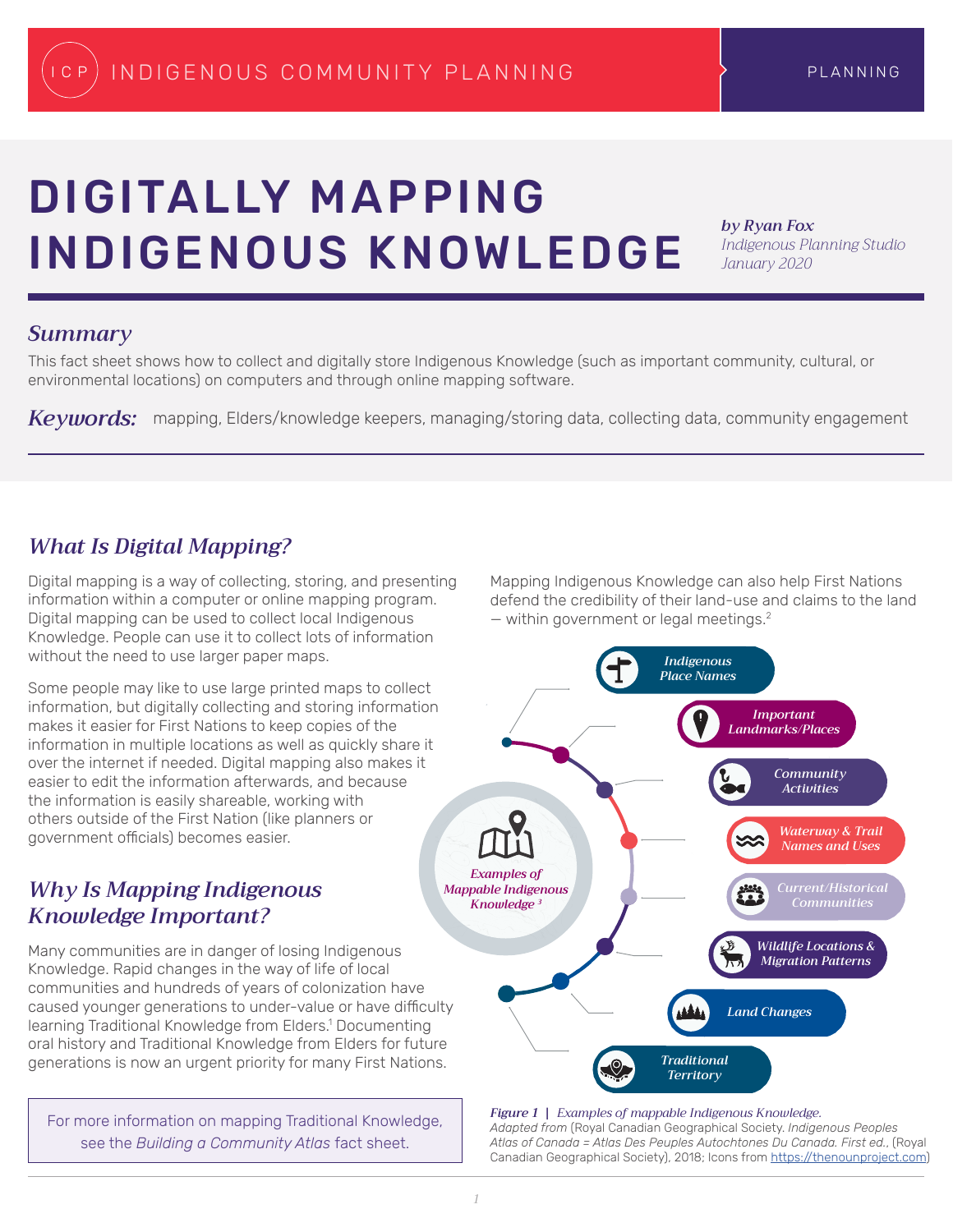# DIGITALLY MAPPING INDIGENOUS KNOWLEDGE

*by Ryan Fox Indigenous Planning Studio January 2020*

## *Summary*

This fact sheet shows how to collect and digitally store Indigenous Knowledge (such as important community, cultural, or environmental locations) on computers and through online mapping software.

*Keywords:*  mapping, Elders/knowledge keepers, managing/storing data, collecting data, community engagement

# *What Is Digital Mapping?*

Digital mapping is a way of collecting, storing, and presenting information within a computer or online mapping program. Digital mapping can be used to collect local Indigenous Knowledge. People can use it to collect lots of information without the need to use larger paper maps.

Some people may like to use large printed maps to collect information, but digitally collecting and storing information makes it easier for First Nations to keep copies of the information in multiple locations as well as quickly share it over the internet if needed. Digital mapping also makes it easier to edit the information afterwards, and because the information is easily shareable, working with others outside of the First Nation (like planners or government officials) becomes easier.

## *Why Is Mapping Indigenous Knowledge Important?*

Many communities are in danger of losing Indigenous Knowledge. Rapid changes in the way of life of local communities and hundreds of years of colonization have caused younger generations to under-value or have difficulty learning Traditional Knowledge from Elders.1 Documenting oral history and Traditional Knowledge from Elders for future generations is now an urgent priority for many First Nations.

For more information on mapping Traditional Knowledge, see the *Building a Community Atlas* fact sheet.

Mapping Indigenous Knowledge can also help First Nations defend the credibility of their land-use and claims to the land — within government or legal meetings.2



*Figure 1 | Examples of mappable Indigenous Knowledge. Adapted from* (Royal Canadian Geographical Society. *Indigenous Peoples Atlas of Canada = Atlas Des Peuples Autochtones Du Canada. First ed.*, (Royal Canadian Geographical Society), 2018; Icons from <https://thenounproject.com>)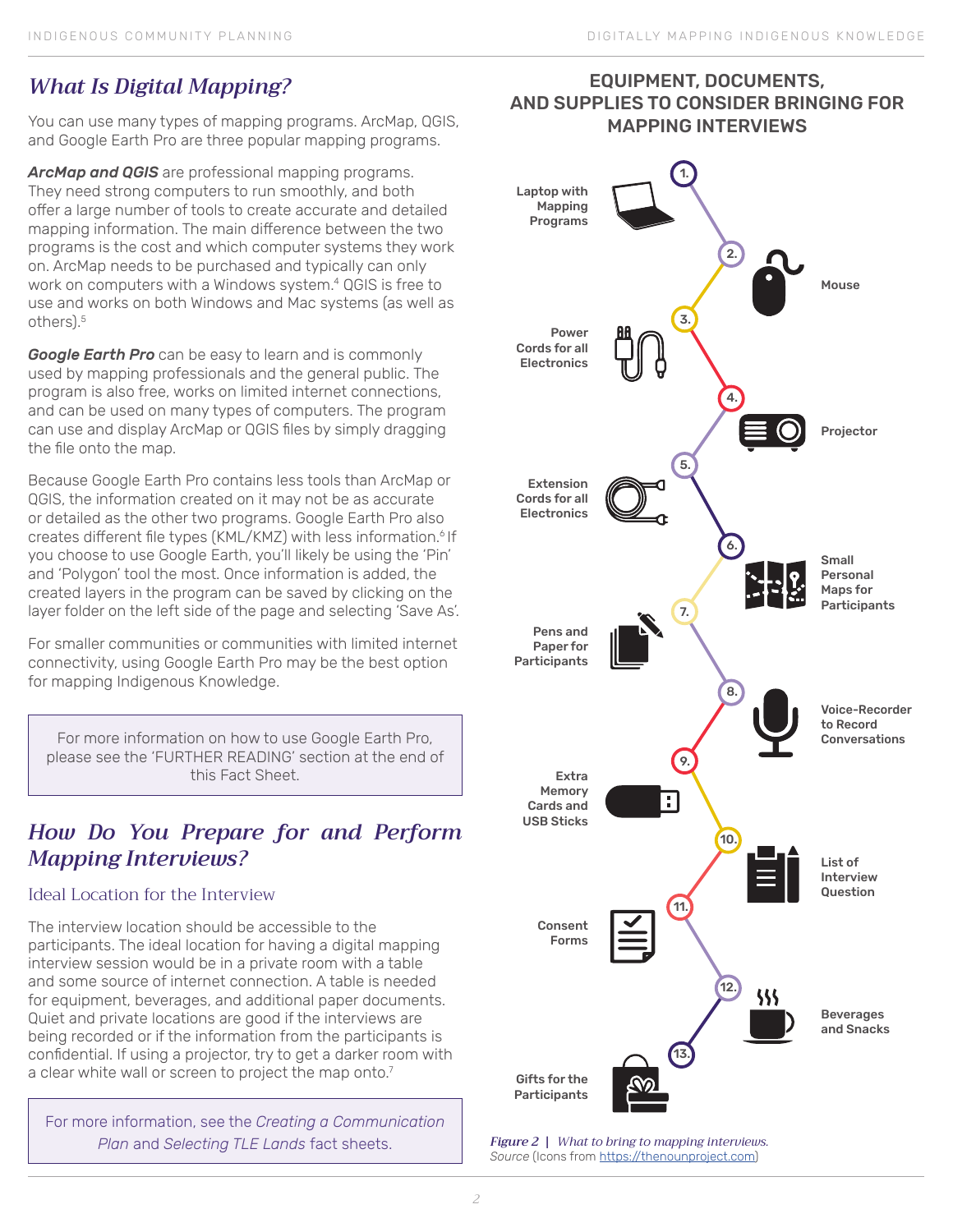# *What Is Digital Mapping?*

You can use many types of mapping programs. ArcMap, QGIS, and Google Earth Pro are three popular mapping programs.

*ArcMap and QGIS* are professional mapping programs. They need strong computers to run smoothly, and both offer a large number of tools to create accurate and detailed mapping information. The main difference between the two programs is the cost and which computer systems they work on. ArcMap needs to be purchased and typically can only work on computers with a Windows system.4 QGIS is free to use and works on both Windows and Mac systems (as well as others).5

*Google Earth Pro* can be easy to learn and is commonly used by mapping professionals and the general public. The program is also free, works on limited internet connections, and can be used on many types of computers. The program can use and display ArcMap or QGIS files by simply dragging the file onto the map.

Because Google Earth Pro contains less tools than ArcMap or QGIS, the information created on it may not be as accurate or detailed as the other two programs. Google Earth Pro also creates different file types (KML/KMZ) with less information.<sup>6</sup> If you choose to use Google Earth, you'll likely be using the 'Pin' and 'Polygon' tool the most. Once information is added, the created layers in the program can be saved by clicking on the layer folder on the left side of the page and selecting 'Save As'.

For smaller communities or communities with limited internet connectivity, using Google Earth Pro may be the best option for mapping Indigenous Knowledge.

For more information on how to use Google Earth Pro, please see the 'FURTHER READING' section at the end of this Fact Sheet.

# *How Do You Prepare for and Perform Mapping Interviews?*

## Ideal Location for the Interview

The interview location should be accessible to the participants. The ideal location for having a digital mapping interview session would be in a private room with a table and some source of internet connection. A table is needed for equipment, beverages, and additional paper documents. Quiet and private locations are good if the interviews are being recorded or if the information from the participants is confidential. If using a projector, try to get a darker room with a clear white wall or screen to project the map onto.<sup>7</sup>

For more information, see the *Creating a Communication Plan* and *Selecting TLE Lands* fact sheets.

#### EQUIPMENT, DOCUMENTS, AND SUPPLIES TO CONSIDER BRINGING FOR MAPPING INTERVIEWS



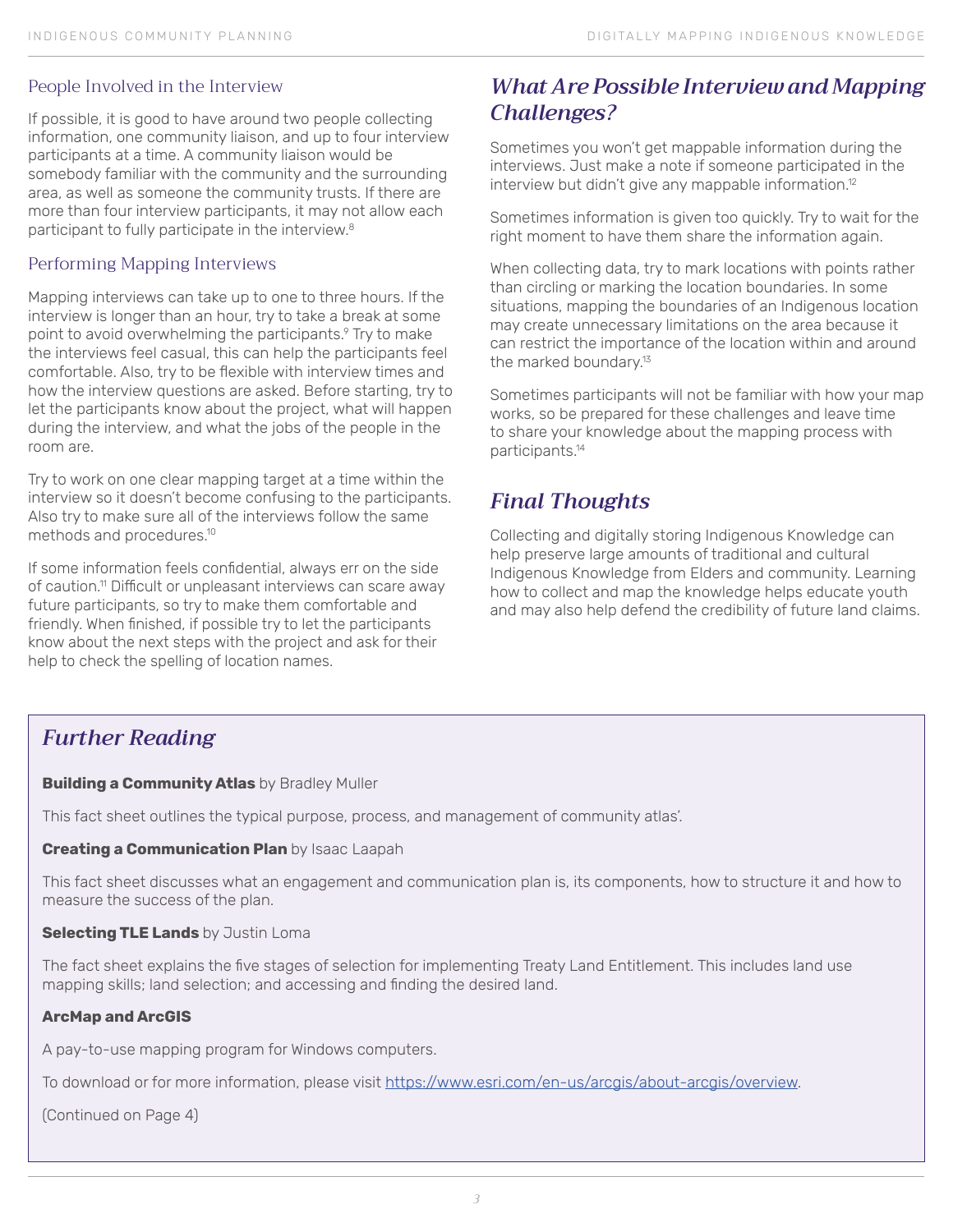#### People Involved in the Interview

If possible, it is good to have around two people collecting information, one community liaison, and up to four interview participants at a time. A community liaison would be somebody familiar with the community and the surrounding area, as well as someone the community trusts. If there are more than four interview participants, it may not allow each participant to fully participate in the interview.<sup>8</sup>

#### Performing Mapping Interviews

Mapping interviews can take up to one to three hours. If the interview is longer than an hour, try to take a break at some point to avoid overwhelming the participants.<sup>9</sup> Try to make the interviews feel casual, this can help the participants feel comfortable. Also, try to be flexible with interview times and how the interview questions are asked. Before starting, try to let the participants know about the project, what will happen during the interview, and what the jobs of the people in the room are.

Try to work on one clear mapping target at a time within the interview so it doesn't become confusing to the participants. Also try to make sure all of the interviews follow the same methods and procedures.10

If some information feels confidential, always err on the side of caution.<sup>11</sup> Difficult or unpleasant interviews can scare away future participants, so try to make them comfortable and friendly. When finished, if possible try to let the participants know about the next steps with the project and ask for their help to check the spelling of location names.

## *What Are Possible Interview and Mapping Challenges?*

Sometimes you won't get mappable information during the interviews. Just make a note if someone participated in the interview but didn't give any mappable information.12

Sometimes information is given too quickly. Try to wait for the right moment to have them share the information again.

When collecting data, try to mark locations with points rather than circling or marking the location boundaries. In some situations, mapping the boundaries of an Indigenous location may create unnecessary limitations on the area because it can restrict the importance of the location within and around the marked boundary.<sup>13</sup>

Sometimes participants will not be familiar with how your map works, so be prepared for these challenges and leave time to share your knowledge about the mapping process with participants.14

## *Final Thoughts*

Collecting and digitally storing Indigenous Knowledge can help preserve large amounts of traditional and cultural Indigenous Knowledge from Elders and community. Learning how to collect and map the knowledge helps educate youth and may also help defend the credibility of future land claims.

# *Further Reading*

**Building a Community Atlas** by Bradley Muller

This fact sheet outlines the typical purpose, process, and management of community atlas'.

**Creating a Communication Plan** by Isaac Laapah

This fact sheet discusses what an engagement and communication plan is, its components, how to structure it and how to measure the success of the plan.

#### **Selecting TLE Lands** by Justin Loma

The fact sheet explains the five stages of selection for implementing Treaty Land Entitlement. This includes land use mapping skills; land selection; and accessing and finding the desired land.

#### **ArcMap and ArcGIS**

A pay-to-use mapping program for Windows computers.

To download or for more information, please visit [https://www.esri.com/en-us/arcgis/about-arcgis/overview.](https://www.esri.com/en-us/arcgis/about-arcgis/overview)

(Continued on Page 4)